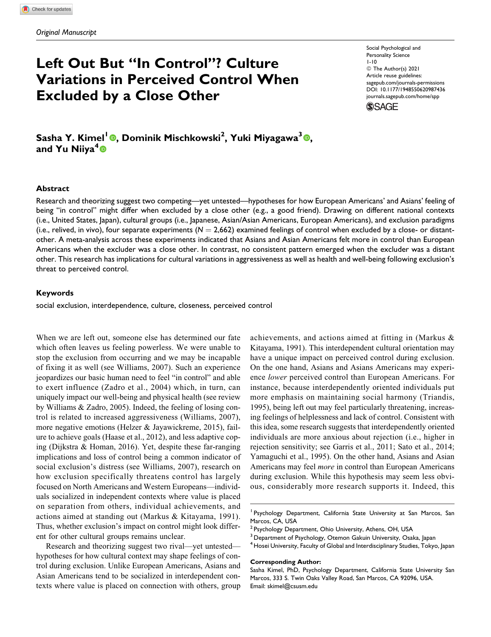# **Left Out But "In Control"? Culture Variations in Perceived Control When Excluded by a Close Other**

Social Psychological and Personality Science 1-10 © The Author(s) 2021 Article reuse guidelines: [sagepub.com/journals-permissions](https://sagepub.com/journals-permissions) [DOI: 10.1177/1948550620987436](https://doi.org/10.1177/1948550620987436) [journals.sagepub.com/home/spp](http://journals.sagepub.com/home/spp)



## **Sasha Y. Kimel<sup>1</sup> [,](https://orcid.org/0000-0002-6476-657X) Dominik Mischkowski<sup>2</sup> , Yuki Miyagawa<sup>3</sup> , and Yu Niiya<sup>4</sup>**

#### **Abstract**

Research and theorizing suggest two competing—yet untested—hypotheses for how European Americans' and Asians' feeling of being "in control" might differ when excluded by a close other (e.g., a good friend). Drawing on different national contexts (i.e., United States, Japan), cultural groups (i.e., Japanese, Asian/Asian Americans, European Americans), and exclusion paradigms (i.e., relived, in vivo), four separate experiments  $(N = 2,662)$  examined feelings of control when excluded by a close- or distantother. A meta-analysis across these experiments indicated that Asians and Asian Americans felt more in control than European Americans when the excluder was a close other. In contrast, no consistent pattern emerged when the excluder was a distant other. This research has implications for cultural variations in aggressiveness as well as health and well-being following exclusion's threat to perceived control.

#### **Keywords**

social exclusion, interdependence, culture, closeness, perceived control

When we are left out, someone else has determined our fate which often leaves us feeling powerless. We were unable to stop the exclusion from occurring and we may be incapable of fixing it as well (see Williams, 2007). Such an experience jeopardizes our basic human need to feel "in control" and able to exert influence (Zadro et al., 2004) which, in turn, can uniquely impact our well-being and physical health (see review by Williams & Zadro, 2005). Indeed, the feeling of losing control is related to increased aggressiveness (Williams, 2007), more negative emotions (Helzer & Jayawickreme, 2015), failure to achieve goals (Haase et al., 2012), and less adaptive coping (Dijkstra & Homan, 2016). Yet, despite these far-ranging implications and loss of control being a common indicator of social exclusion's distress (see Williams, 2007), research on how exclusion specifically threatens control has largely focused on North Americans and Western Europeans—individuals socialized in independent contexts where value is placed on separation from others, individual achievements, and actions aimed at standing out (Markus & Kitayama, 1991). Thus, whether exclusion's impact on control might look different for other cultural groups remains unclear.

Research and theorizing suggest two rival—yet untested hypotheses for how cultural context may shape feelings of control during exclusion. Unlike European Americans, Asians and Asian Americans tend to be socialized in interdependent contexts where value is placed on connection with others, group achievements, and actions aimed at fitting in (Markus & Kitayama, 1991). This interdependent cultural orientation may have a unique impact on perceived control during exclusion. On the one hand, Asians and Asians Americans may experience lower perceived control than European Americans. For instance, because interdependently oriented individuals put more emphasis on maintaining social harmony (Triandis, 1995), being left out may feel particularly threatening, increasing feelings of helplessness and lack of control. Consistent with this idea, some research suggests that interdependently oriented individuals are more anxious about rejection (i.e., higher in rejection sensitivity; see Garris et al., 2011; Sato et al., 2014; Yamaguchi et al., 1995). On the other hand, Asians and Asian Americans may feel more in control than European Americans during exclusion. While this hypothesis may seem less obvious, considerably more research supports it. Indeed, this

#### **Corresponding Author:**

<sup>&</sup>lt;sup>1</sup> Psychology Department, California State University at San Marcos, San Marcos, CA, USA

<sup>&</sup>lt;sup>2</sup> Psychology Department, Ohio University, Athens, OH, USA

<sup>&</sup>lt;sup>3</sup> Department of Psychology, Otemon Gakuin University, Osaka, Japan

 $^4$  Hosei University, Faculty of Global and Interdisciplinary Studies, Tokyo, Japan

Sasha Kimel, PhD, Psychology Department, California State University San Marcos, 333 S. Twin Oaks Valley Road, San Marcos, CA 92096, USA. Email: [skimel@csusm.edu](mailto:skimel@csusm.edu)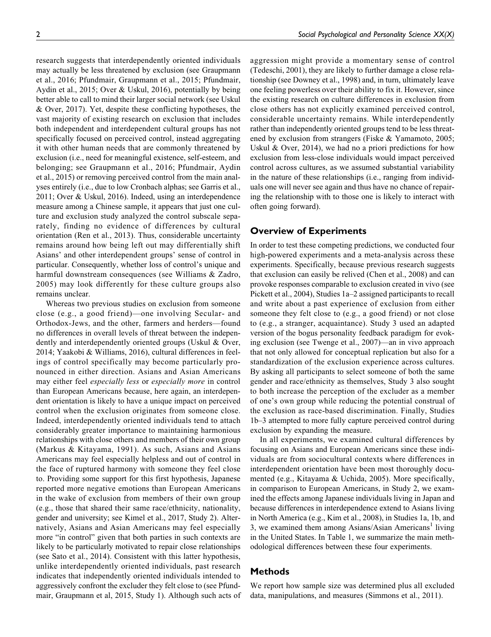research suggests that interdependently oriented individuals may actually be less threatened by exclusion (see Graupmann et al., 2016; Pfundmair, Graupmann et al., 2015; Pfundmair, Aydin et al., 2015; Over & Uskul, 2016), potentially by being better able to call to mind their larger social network (see Uskul & Over, 2017). Yet, despite these conflicting hypotheses, the vast majority of existing research on exclusion that includes both independent and interdependent cultural groups has not specifically focused on perceived control, instead aggregating it with other human needs that are commonly threatened by exclusion (i.e., need for meaningful existence, self-esteem, and belonging; see Graupmann et al., 2016; Pfundmair, Aydin et al., 2015) or removing perceived control from the main analyses entirely (i.e., due to low Cronbach alphas; see Garris et al., 2011; Over & Uskul, 2016). Indeed, using an interdependence measure among a Chinese sample, it appears that just one culture and exclusion study analyzed the control subscale separately, finding no evidence of differences by cultural orientation (Ren et al., 2013). Thus, considerable uncertainty remains around how being left out may differentially shift Asians' and other interdependent groups' sense of control in particular. Consequently, whether loss of control's unique and harmful downstream consequences (see Williams & Zadro, 2005) may look differently for these culture groups also remains unclear.

Whereas two previous studies on exclusion from someone close (e.g., a good friend)—one involving Secular- and Orthodox-Jews, and the other, farmers and herders—found no differences in overall levels of threat between the independently and interdependently oriented groups (Uskul & Over, 2014; Yaakobi & Williams, 2016), cultural differences in feelings of control specifically may become particularly pronounced in either direction. Asians and Asian Americans may either feel *especially less* or *especially more* in control than European Americans because, here again, an interdependent orientation is likely to have a unique impact on perceived control when the exclusion originates from someone close. Indeed, interdependently oriented individuals tend to attach considerably greater importance to maintaining harmonious relationships with close others and members of their own group (Markus & Kitayama, 1991). As such, Asians and Asians Americans may feel especially helpless and out of control in the face of ruptured harmony with someone they feel close to. Providing some support for this first hypothesis, Japanese reported more negative emotions than European Americans in the wake of exclusion from members of their own group (e.g., those that shared their same race/ethnicity, nationality, gender and university; see Kimel et al., 2017, Study 2). Alternatively, Asians and Asian Americans may feel especially more "in control" given that both parties in such contexts are likely to be particularly motivated to repair close relationships (see Sato et al., 2014). Consistent with this latter hypothesis, unlike interdependently oriented individuals, past research indicates that independently oriented individuals intended to aggressively confront the excluder they felt close to (see Pfundmair, Graupmann et al, 2015, Study 1). Although such acts of aggression might provide a momentary sense of control (Tedeschi, 2001), they are likely to further damage a close relationship (see Downey et al., 1998) and, in turn, ultimately leave one feeling powerless over their ability to fix it. However, since the existing research on culture differences in exclusion from close others has not explicitly examined perceived control, considerable uncertainty remains. While interdependently rather than independently oriented groups tend to be less threatened by exclusion from strangers (Fiske & Yamamoto, 2005; Uskul & Over, 2014), we had no a priori predictions for how exclusion from less-close individuals would impact perceived control across cultures, as we assumed substantial variability in the nature of these relationships (i.e., ranging from individuals one will never see again and thus have no chance of repairing the relationship with to those one is likely to interact with often going forward).

## **Overview of Experiments**

In order to test these competing predictions, we conducted four high-powered experiments and a meta-analysis across these experiments. Specifically, because previous research suggests that exclusion can easily be relived (Chen et al., 2008) and can provoke responses comparable to exclusion created in vivo (see Pickett et al., 2004), Studies 1a–2 assigned participants to recall and write about a past experience of exclusion from either someone they felt close to (e.g., a good friend) or not close to (e.g., a stranger, acquaintance). Study 3 used an adapted version of the bogus personality feedback paradigm for evoking exclusion (see Twenge et al., 2007)—an in vivo approach that not only allowed for conceptual replication but also for a standardization of the exclusion experience across cultures. By asking all participants to select someone of both the same gender and race/ethnicity as themselves, Study 3 also sought to both increase the perception of the excluder as a member of one's own group while reducing the potential construal of the exclusion as race-based discrimination. Finally, Studies 1b–3 attempted to more fully capture perceived control during exclusion by expanding the measure.

In all experiments, we examined cultural differences by focusing on Asians and European Americans since these individuals are from sociocultural contexts where differences in interdependent orientation have been most thoroughly documented (e.g., Kitayama & Uchida, 2005). More specifically, in comparison to European Americans, in Study 2, we examined the effects among Japanese individuals living in Japan and because differences in interdependence extend to Asians living in North America (e.g., Kim et al., 2008), in Studies 1a, 1b, and 3, we examined them among Asians/Asian Americans<sup>1</sup> living in the United States. In Table 1, we summarize the main methodological differences between these four experiments.

## **Methods**

We report how sample size was determined plus all excluded data, manipulations, and measures (Simmons et al., 2011).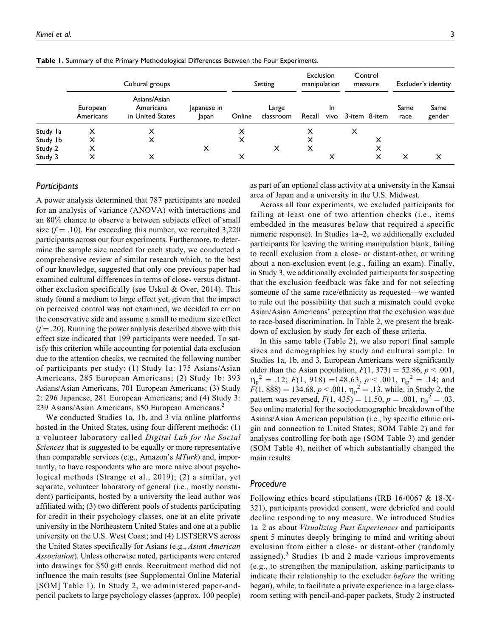|          | Cultural groups       |                                               |                    |        | Setting            | Exclusion<br>manipulation |            | Control<br>measure |   | Excluder's identity |                |
|----------|-----------------------|-----------------------------------------------|--------------------|--------|--------------------|---------------------------|------------|--------------------|---|---------------------|----------------|
|          | European<br>Americans | Asians/Asian<br>Americans<br>in United States | apanese in<br>apan | Online | Large<br>classroom | Recall                    | In<br>vivo | 3-item 8-item      |   | Same<br>race        | Same<br>gender |
| Study la | X                     | X                                             |                    | x      |                    | x                         |            | x                  |   |                     |                |
| Study Ib | х                     | X                                             |                    | X      |                    |                           |            |                    | х |                     |                |
| Study 2  | x                     |                                               | X                  |        | x                  | х                         |            |                    | x |                     |                |
| Study 3  | X                     | X                                             |                    | x      |                    |                           |            |                    |   | X                   | х              |

**Table 1.** Summary of the Primary Methodological Differences Between the Four Experiments.

#### *Participants*

A power analysis determined that 787 participants are needed for an analysis of variance (ANOVA) with interactions and an 80% chance to observe a between subjects effect of small size  $(f = .10)$ . Far exceeding this number, we recruited 3,220 participants across our four experiments. Furthermore, to determine the sample size needed for each study, we conducted a comprehensive review of similar research which, to the best of our knowledge, suggested that only one previous paper had examined cultural differences in terms of close- versus distantother exclusion specifically (see Uskul & Over, 2014). This study found a medium to large effect yet, given that the impact on perceived control was not examined, we decided to err on the conservative side and assume a small to medium size effect  $(f = .20)$ . Running the power analysis described above with this effect size indicated that 199 participants were needed. To satisfy this criterion while accounting for potential data exclusion due to the attention checks, we recruited the following number of participants per study: (1) Study 1a: 175 Asians/Asian Americans, 285 European Americans; (2) Study 1b: 393 Asians/Asian Americans, 701 European Americans; (3) Study 2: 296 Japanese, 281 European Americans; and (4) Study 3: 239 Asians/Asian Americans, 850 European Americans.<sup>2</sup>

We conducted Studies 1a, 1b, and 3 via online platforms hosted in the United States, using four different methods: (1) a volunteer laboratory called Digital Lab for the Social Sciences that is suggested to be equally or more representative than comparable services (e.g., Amazon's MTurk) and, importantly, to have respondents who are more naive about psychological methods (Strange et al., 2019); (2) a similar, yet separate, volunteer laboratory of general (i.e., mostly nonstudent) participants, hosted by a university the lead author was affiliated with; (3) two different pools of students participating for credit in their psychology classes, one at an elite private university in the Northeastern United States and one at a public university on the U.S. West Coast; and (4) LISTSERVS across the United States specifically for Asians (e.g., Asian American Association). Unless otherwise noted, participants were entered into drawings for \$50 gift cards. Recruitment method did not influence the main results (see Supplemental Online Material [SOM] Table 1). In Study 2, we administered paper-andpencil packets to large psychology classes (approx. 100 people) as part of an optional class activity at a university in the Kansai area of Japan and a university in the U.S. Midwest.

Across all four experiments, we excluded participants for failing at least one of two attention checks (i.e., items embedded in the measures below that required a specific numeric response). In Studies 1a–2, we additionally excluded participants for leaving the writing manipulation blank, failing to recall exclusion from a close- or distant-other, or writing about a non-exclusion event (e.g., failing an exam). Finally, in Study 3, we additionally excluded participants for suspecting that the exclusion feedback was fake and for not selecting someone of the same race/ethnicity as requested—we wanted to rule out the possibility that such a mismatch could evoke Asian/Asian Americans' perception that the exclusion was due to race-based discrimination. In Table 2, we present the breakdown of exclusion by study for each of these criteria.

In this same table (Table 2), we also report final sample sizes and demographics by study and cultural sample. In Studies 1a, 1b, and 3, European Americans were significantly older than the Asian population,  $F(1, 373) = 52.86$ ,  $p < .001$ ,  $\eta_p^2 = .12$ ;  $F(1, 918) = 148.63$ ,  $p < .001$ ,  $\eta_p^2 = .14$ ; and  $F(1, 888) = 134.68, p < .001, \eta_p^2 = .13$ , while, in Study 2, the pattern was reversed,  $F(1, 435) = 11.50, p = .001, \eta_p^2 = .03$ . See online material for the sociodemographic breakdown of the Asians/Asian American population (i.e., by specific ethnic origin and connection to United States; SOM Table 2) and for analyses controlling for both age (SOM Table 3) and gender (SOM Table 4), neither of which substantially changed the main results.

#### *Procedure*

Following ethics board stipulations (IRB 16-0067 & 18-X-321), participants provided consent, were debriefed and could decline responding to any measure. We introduced Studies 1a–2 as about Visualizing Past Experiences and participants spent 5 minutes deeply bringing to mind and writing about exclusion from either a close- or distant-other (randomly assigned). $3$  Studies 1b and 2 made various improvements (e.g., to strengthen the manipulation, asking participants to indicate their relationship to the excluder *before* the writing began), while, to facilitate a private experience in a large classroom setting with pencil-and-paper packets, Study 2 instructed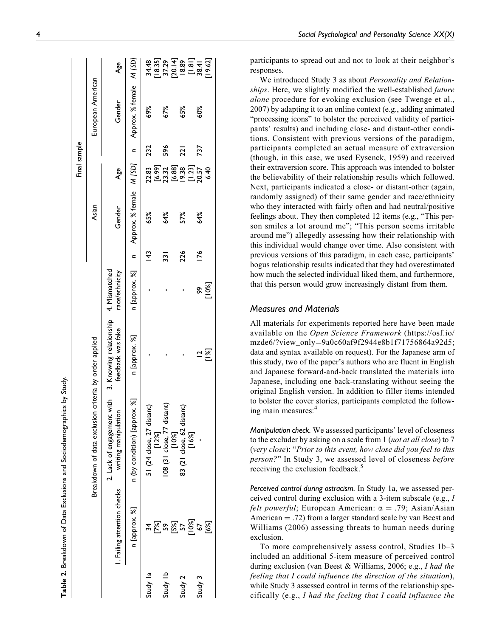|          |                            |                                                                                          |                         |                |               |        | Final sample           |     |                                                     |                                  |
|----------|----------------------------|------------------------------------------------------------------------------------------|-------------------------|----------------|---------------|--------|------------------------|-----|-----------------------------------------------------|----------------------------------|
|          |                            | Breakdown of data exclusion criteria by order applied                                    |                         |                |               | Asian  |                        |     | European American                                   |                                  |
|          | . Failing attention checks | 2. Lack of engagement with 3. Knowing relationship 4. Mismatched<br>writing manipulation | feedback was fake       | race/ethnicity |               | Gender | Age                    |     | Gender                                              | Age                              |
|          | n [approx. %]              | n (by condition) [approx. %]                                                             | n [approx. %]           | n [approx. %]  |               |        |                        |     | n Approx. % female M [SD] n Approx. % female M [SD] |                                  |
| Study la | 34                         | 51 (24 close, 27 distant)                                                                |                         |                | $\frac{4}{3}$ | 65%    | 22.83                  | 232 | 69%                                                 | 34.48                            |
| Study Ib | ত্ত<br>১৯                  | 08 (31 close, 77 distant)<br>[12%]                                                       |                         |                | 331           | 64%    | [6.99]<br>23.32        | 596 | 67%                                                 |                                  |
| Study 2  | 57<br>57                   | 83 (21 close, 62 distant)<br>$[10\%]$                                                    |                         |                | 226           | 57%    | [6.88]<br> 9.38        | ีลิ | 65%                                                 | 18.35<br>57.29<br>18.89<br>18.01 |
| Study 3  | 10%]<br>67                 | [16%]                                                                                    | $\overline{\mathbf{C}}$ | ĝ,             | $\frac{1}{6}$ | 64%    | $\frac{[1.23]}{20.57}$ | 737 | 60%                                                 | $\frac{[1.81]}{38.4}$            |
|          | [6%]                       |                                                                                          | $[1\%]$                 | [10%]          |               |        | 6.40                   |     |                                                     | [19.62]                          |

**Table 2.**

Breakdown of Data Exclusions and Sociodemographics by Study.

Table 2. Breakdown of Data Exclusions and Sociodemographics by Study

participants to spread out and not to look at their neighbor's responses.

We introduced Study 3 as about Personality and Relationships. Here, we slightly modified the well-established future alone procedure for evoking exclusion (see Twenge et al., 2007) by adapting it to an online context (e.g., adding animated "processing icons" to bolster the perceived validity of participants' results) and including close- and distant-other conditions. Consistent with previous versions of the paradigm, participants completed an actual measure of extraversion (though, in this case, we used Eysenck, 1959) and received their extraversion score. This approach was intended to bolster the believability of their relationship results which followed. Next, participants indicated a close- or distant-other (again, randomly assigned) of their same gender and race/ethnicity who they interacted with fairly often and had neutral/positive feelings about. They then completed 12 items (e.g., "This person smiles a lot around me"; "This person seems irritable around me") allegedly assessing how their relationship with this individual would change over time. Also consistent with previous versions of this paradigm, in each case, participants' bogus relationship results indicated that they had overestimated how much the selected individual liked them, and furthermore, that this person would grow increasingly distant from them.

## *Measures and Materials*

All materials for experiments reported here have been made available on the Open Science Framework [\(https://osf.io/](https://osf.io/mzde6/?view_only=9a0c60af9f2944e8b1f71756864a92d5;) [mzde6/?view\\_only](https://osf.io/mzde6/?view_only=9a0c60af9f2944e8b1f71756864a92d5;)=[9a0c60af9f2944e8b1f71756864a92d5;](https://osf.io/mzde6/?view_only=9a0c60af9f2944e8b1f71756864a92d5;) data and syntax available on request). For the Japanese arm of this study, two of the paper's authors who are fluent in English and Japanese forward-and-back translated the materials into Japanese, including one back-translating without seeing the original English version. In addition to filler items intended to bolster the cover stories, participants completed the following main measures:<sup>4</sup>

*Manipulation check.* We assessed participants' level of closeness to the excluder by asking on a scale from 1 (not at all close) to 7 (very close): "Prior to this event, how close did you feel to this person?" In Study 3, we assessed level of closeness before receiving the exclusion feedback.<sup>5</sup>

*Perceived control during ostracism.* In Study 1a, we assessed perceived control during exclusion with a 3-item subscale (e.g., I *felt powerful*; European American:  $\alpha = .79$ ; Asian/Asian American  $=$  .72) from a larger standard scale by van Beest and Williams (2006) assessing threats to human needs during exclusion.

To more comprehensively assess control, Studies 1b–3 included an additional 5-item measure of perceived control during exclusion (van Beest & Williams, 2006; e.g., I had the feeling that I could influence the direction of the situation), while Study 3 assessed control in terms of the relationship specifically (e.g., I had the feeling that I could influence the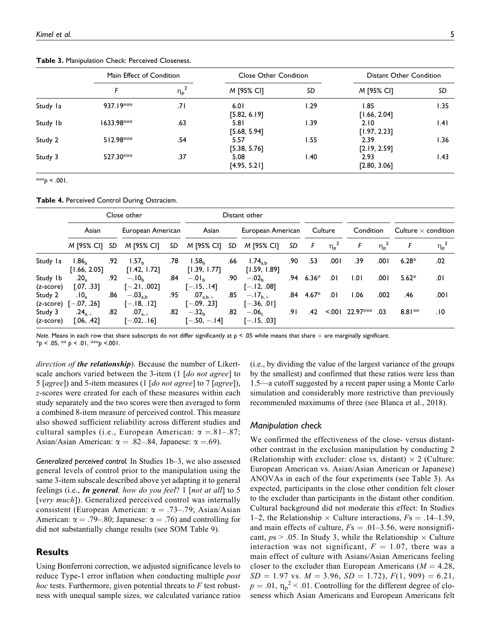**Table 3.** Manipulation Check: Perceived Closeness.

|          | Main Effect of Condition |                             | <b>Close Other Condition</b> |       | Distant Other Condition |            |  |  |
|----------|--------------------------|-----------------------------|------------------------------|-------|-------------------------|------------|--|--|
|          |                          | $\eta_{\sf p}^2$            | M [95% CI]                   | SD    | M [95% CI]              | SD<br>1.35 |  |  |
| Study la | $937.19***$              | ا7.                         | 6.01<br>[5.82, 6.19]         | 1.29  | 1.85<br>[1.66, 2.04]    |            |  |  |
| Study Ib | $1633.98***$             | .63                         | 5.81<br>[5.68, 5.94]         | 1.39  | 2.10<br>[1.97, 2.23]    | .4         |  |  |
| Study 2  | $512.98***$              | .54<br>5.57<br>[5.38, 5.76] |                              | I.55  | 2.39<br>[2.19, 2.59]    |            |  |  |
| Study 3  | 527.30***                | .37                         | 5.08<br>[4.95, 5.21]         | 40. ا | 2.93<br>[2.80, 3.06]    | 1.43       |  |  |

\*\*\* $p < .001$ .

**Table 4.** Perceived Control During Ostracism.

|                       | Close other                                          |     |                                   | Distant other |                                   |     |                               |     |         |                  |           |                  |                            |                  |
|-----------------------|------------------------------------------------------|-----|-----------------------------------|---------------|-----------------------------------|-----|-------------------------------|-----|---------|------------------|-----------|------------------|----------------------------|------------------|
|                       | Asian                                                |     | European American                 |               | Asian                             |     | European American             |     | Culture |                  | Condition |                  | Culture $\times$ condition |                  |
|                       | $M$ [95% CI] SD                                      |     | M [95% CI]                        | SD            | M [95% CI] SD                     |     | M [95% CI]                    | SD  | F       | $\eta_{\rm p}^2$ | F         | $\eta_{\rm p}^2$ |                            | $\eta_{\sf p}^2$ |
| Study la              | 1.86.<br>[1.66, 2.05]                                | .92 | 1.57 <sub>b</sub><br>[1.42, 1.72] | .78           | 1.58 <sub>b</sub><br>[1.39, 1.77] | .66 | $1.74_{a,b}$<br>[1.59, 1.89]  | .90 | .53     | .001             | .39       | .001             | $6.28*$                    | .02              |
| Study Ib<br>(z-score) | .20 <sub>2</sub><br>[.07, .33]                       | .92 | $-.10b$<br>$[-.21, .002]$         | .84           | $-.01b$<br>$[-.15, .14]$          | .90 | $-.02h$<br>$[-.12, .08]$      | .94 | $6.36*$ | .01              | 1.01      | .001             | $5.62*$                    | 0۱.              |
| Study 2               | .10 <sub>2</sub><br>$(z\text{-score})$ $[-.07, .26]$ | .86 | $-.03_{\rm a,b}$<br>$[-.18, .12]$ | .95           | $.07_{a,b,+}$<br>$[-.09, .23]$    | .85 | $-.17_{b,+}$<br>$[-.36, .01]$ | .84 | 4.67*   | .01              | 1.06      | .002             | .46                        | ا 00.            |
| Study 3<br>(z-score)  | $.24_{a,+}$<br>[.06, .42]                            | .82 | $.07_{a,+}$<br>$[-.02, .16]$      | .82           | $-.32b$<br>$[-.50, -.14]$         | .82 | $-.06c$<br>$[-.15, .03]$      | .9۱ | .42     | < 001            | 22.97***  | .03              | $8.81**$                   | .١٥              |

*Note*. Means in each row that share subscripts do not differ significantly at p < .05 while means that share + are marginally significant. \**p* < .05, \*\* *p* < .01, \*\*\**p* <.001.

direction of **the relationship**). Because the number of Likertscale anchors varied between the 3-item (1 [do not agree] to 5 [agree]) and 5-item measures (1 [do not agree] to 7 [agree]), z-scores were created for each of these measures within each study separately and the two scores were then averaged to form a combined 8-item measure of perceived control. This measure also showed sufficient reliability across different studies and cultural samples (i.e., European American:  $\alpha = .81-.87$ ; Asian/Asian American:  $\alpha = .82-.84$ , Japanese:  $\alpha = .69$ ).

*Generalized perceived control.* In Studies 1b–3, we also assessed general levels of control prior to the manipulation using the same 3-item subscale described above yet adapting it to general feelings (i.e., In general, how do you feel? 1 [not at all] to 5 [very much]). Generalized perceived control was internally consistent (European American:  $\alpha = .73-.79$ ; Asian/Asian American:  $\alpha = .79-.80$ ; Japanese:  $\alpha = .76$ ) and controlling for did not substantially change results (see SOM Table 9).

## **Results**

Using Bonferroni correction, we adjusted significance levels to reduce Type-1 error inflation when conducting multiple *post hoc* tests. Furthermore, given potential threats to  $F$  test robustness with unequal sample sizes, we calculated variance ratios

(i.e., by dividing the value of the largest variance of the groups by the smallest) and confirmed that these ratios were less than 1.5—a cutoff suggested by a recent paper using a Monte Carlo simulation and considerably more restrictive than previously recommended maximums of three (see Blanca et al., 2018).

#### *Manipulation check*

We confirmed the effectiveness of the close- versus distantother contrast in the exclusion manipulation by conducting 2 (Relationship with excluder: close vs. distant)  $\times$  2 (Culture: European American vs. Asian/Asian American or Japanese) ANOVAs in each of the four experiments (see Table 3). As expected, participants in the close other condition felt closer to the excluder than participants in the distant other condition. Cultural background did not moderate this effect: In Studies 1–2, the Relationship  $\times$  Culture interactions,  $Fs = .14–1.59$ , and main effects of culture,  $Fs = .01-3.56$ , were nonsignificant,  $ps > .05$ . In Study 3, while the Relationship  $\times$  Culture interaction was not significant,  $F = 1.07$ , there was a main effect of culture with Asians/Asian Americans feeling closer to the excluder than European Americans ( $M = 4.28$ ,  $SD = 1.97$  vs.  $M = 3.96$ ,  $SD = 1.72$ ),  $F(1, 909) = 6.21$ ,  $p = .01$ ,  $\eta_p^2$  < .01. Controlling for the different degree of closeness which Asian Americans and European Americans felt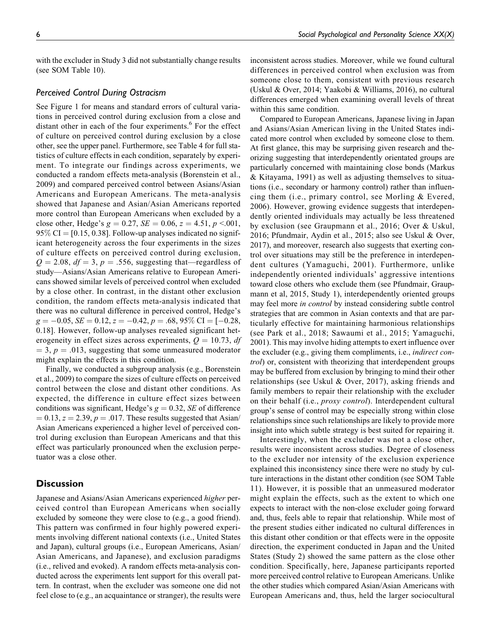with the excluder in Study 3 did not substantially change results (see SOM Table 10).

#### *Perceived Control During Ostracism*

See Figure 1 for means and standard errors of cultural variations in perceived control during exclusion from a close and distant other in each of the four experiments.<sup>6</sup> For the effect of culture on perceived control during exclusion by a close other, see the upper panel. Furthermore, see Table 4 for full statistics of culture effects in each condition, separately by experiment. To integrate our findings across experiments, we conducted a random effects meta-analysis (Borenstein et al., 2009) and compared perceived control between Asians/Asian Americans and European Americans. The meta-analysis showed that Japanese and Asian/Asian Americans reported more control than European Americans when excluded by a close other, Hedge's  $g = 0.27$ ,  $SE = 0.06$ ,  $z = 4.51$ ,  $p < 0.01$ ,  $95\%$  CI = [0.15, 0.38]. Follow-up analyses indicated no significant heterogeneity across the four experiments in the sizes of culture effects on perceived control during exclusion,  $Q = 2.08$ ,  $df = 3$ ,  $p = .556$ , suggesting that—regardless of study—Asians/Asian Americans relative to European Americans showed similar levels of perceived control when excluded by a close other. In contrast, in the distant other exclusion condition, the random effects meta-analysis indicated that there was no cultural difference in perceived control, Hedge's  $g = -0.05$ ,  $SE = 0.12$ ,  $z = -0.42$ ,  $p = .68$ ,  $95\%$  CI = [-0.28, 0.18]. However, follow-up analyses revealed significant heterogeneity in effect sizes across experiments,  $Q = 10.73$ , df  $=$  3,  $p = .013$ , suggesting that some unmeasured moderator might explain the effects in this condition.

Finally, we conducted a subgroup analysis (e.g., Borenstein et al., 2009) to compare the sizes of culture effects on perceived control between the close and distant other conditions. As expected, the difference in culture effect sizes between conditions was significant, Hedge's  $g = 0.32$ , SE of difference  $= 0.13, z = 2.39, p = .017$ . These results suggested that Asian/ Asian Americans experienced a higher level of perceived control during exclusion than European Americans and that this effect was particularly pronounced when the exclusion perpetuator was a close other.

## **Discussion**

Japanese and Asians/Asian Americans experienced higher perceived control than European Americans when socially excluded by someone they were close to (e.g., a good friend). This pattern was confirmed in four highly powered experiments involving different national contexts (i.e., United States and Japan), cultural groups (i.e., European Americans, Asian/ Asian Americans, and Japanese), and exclusion paradigms (i.e., relived and evoked). A random effects meta-analysis conducted across the experiments lent support for this overall pattern. In contrast, when the excluder was someone one did not feel close to (e.g., an acquaintance or stranger), the results were

inconsistent across studies. Moreover, while we found cultural differences in perceived control when exclusion was from someone close to them, consistent with previous research (Uskul & Over, 2014; Yaakobi & Williams, 2016), no cultural differences emerged when examining overall levels of threat within this same condition.

Compared to European Americans, Japanese living in Japan and Asians/Asian American living in the United States indicated more control when excluded by someone close to them. At first glance, this may be surprising given research and theorizing suggesting that interdependently orientated groups are particularly concerned with maintaining close bonds (Markus & Kitayama, 1991) as well as adjusting themselves to situations (i.e., secondary or harmony control) rather than influencing them (i.e., primary control, see Morling & Evered, 2006). However, growing evidence suggests that interdependently oriented individuals may actually be less threatened by exclusion (see Graupmann et al., 2016; Over & Uskul, 2016; Pfundmair, Aydin et al., 2015; also see Uskul & Over, 2017), and moreover, research also suggests that exerting control over situations may still be the preference in interdependent cultures (Yamaguchi, 2001). Furthermore, unlike independently oriented individuals' aggressive intentions toward close others who exclude them (see Pfundmair, Graupmann et al, 2015, Study 1), interdependently oriented groups may feel more *in control* by instead considering subtle control strategies that are common in Asian contexts and that are particularly effective for maintaining harmonious relationships (see Park et al., 2018; Sawaumi et al., 2015; Yamaguchi, 2001). This may involve hiding attempts to exert influence over the excluder (e.g., giving them compliments, i.e., indirect control) or, consistent with theorizing that interdependent groups may be buffered from exclusion by bringing to mind their other relationships (see Uskul & Over, 2017), asking friends and family members to repair their relationship with the excluder on their behalf (i.e., *proxy control*). Interdependent cultural group's sense of control may be especially strong within close relationships since such relationships are likely to provide more insight into which subtle strategy is best suited for repairing it.

Interestingly, when the excluder was not a close other, results were inconsistent across studies. Degree of closeness to the excluder nor intensity of the exclusion experience explained this inconsistency since there were no study by culture interactions in the distant other condition (see SOM Table 11). However, it is possible that an unmeasured moderator might explain the effects, such as the extent to which one expects to interact with the non-close excluder going forward and, thus, feels able to repair that relationship. While most of the present studies either indicated no cultural differences in this distant other condition or that effects were in the opposite direction, the experiment conducted in Japan and the United States (Study 2) showed the same pattern as the close other condition. Specifically, here, Japanese participants reported more perceived control relative to European Americans. Unlike the other studies which compared Asian/Asian Americans with European Americans and, thus, held the larger sociocultural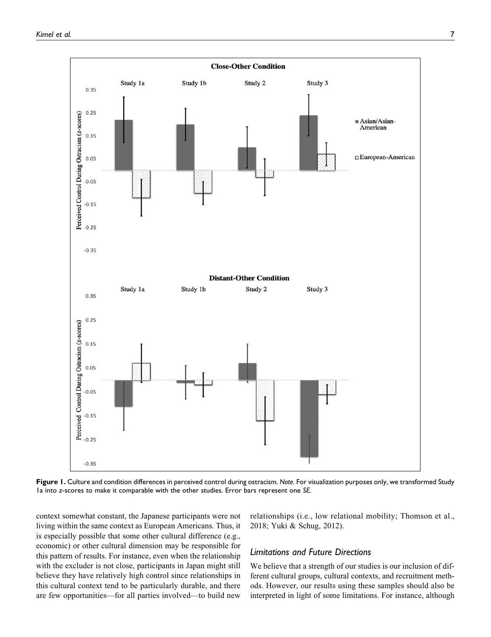

**Figure 1.** Culture and condition differences in perceived control during ostracism. *Note.* For visualization purposes only, we transformed Study 1a into *z*-scores to make it comparable with the other studies. Error bars represent one *SE*.

context somewhat constant, the Japanese participants were not living within the same context as European Americans. Thus, it is especially possible that some other cultural difference (e.g., economic) or other cultural dimension may be responsible for this pattern of results. For instance, even when the relationship with the excluder is not close, participants in Japan might still believe they have relatively high control since relationships in this cultural context tend to be particularly durable, and there are few opportunities—for all parties involved—to build new

relationships (i.e., low relational mobility; Thomson et al., 2018; Yuki & Schug, 2012).

## *Limitations and Future Directions*

We believe that a strength of our studies is our inclusion of different cultural groups, cultural contexts, and recruitment methods. However, our results using these samples should also be interpreted in light of some limitations. For instance, although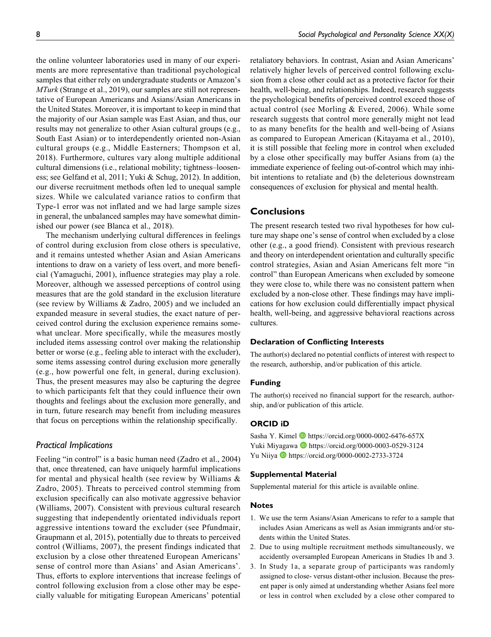the online volunteer laboratories used in many of our experiments are more representative than traditional psychological samples that either rely on undergraduate students or Amazon's MTurk (Strange et al., 2019), our samples are still not representative of European Americans and Asians/Asian Americans in the United States. Moreover, it is important to keep in mind that the majority of our Asian sample was East Asian, and thus, our results may not generalize to other Asian cultural groups (e.g., South East Asian) or to interdependently oriented non-Asian cultural groups (e.g., Middle Easterners; Thompson et al, 2018). Furthermore, cultures vary along multiple additional cultural dimensions (i.e., relational mobility; tightness–looseness; see Gelfand et al, 2011; Yuki & Schug, 2012). In addition, our diverse recruitment methods often led to unequal sample sizes. While we calculated variance ratios to confirm that Type-1 error was not inflated and we had large sample sizes in general, the unbalanced samples may have somewhat diminished our power (see Blanca et al., 2018).

The mechanism underlying cultural differences in feelings of control during exclusion from close others is speculative, and it remains untested whether Asian and Asian Americans intentions to draw on a variety of less overt, and more beneficial (Yamaguchi, 2001), influence strategies may play a role. Moreover, although we assessed perceptions of control using measures that are the gold standard in the exclusion literature (see review by Williams & Zadro, 2005) and we included an expanded measure in several studies, the exact nature of perceived control during the exclusion experience remains somewhat unclear. More specifically, while the measures mostly included items assessing control over making the relationship better or worse (e.g., feeling able to interact with the excluder), some items assessing control during exclusion more generally (e.g., how powerful one felt, in general, during exclusion). Thus, the present measures may also be capturing the degree to which participants felt that they could influence their own thoughts and feelings about the exclusion more generally, and in turn, future research may benefit from including measures that focus on perceptions within the relationship specifically.

#### *Practical Implications*

Feeling "in control" is a basic human need (Zadro et al., 2004) that, once threatened, can have uniquely harmful implications for mental and physical health (see review by Williams & Zadro, 2005). Threats to perceived control stemming from exclusion specifically can also motivate aggressive behavior (Williams, 2007). Consistent with previous cultural research suggesting that independently orientated individuals report aggressive intentions toward the excluder (see Pfundmair, Graupmann et al, 2015), potentially due to threats to perceived control (Williams, 2007), the present findings indicated that exclusion by a close other threatened European Americans' sense of control more than Asians' and Asian Americans'. Thus, efforts to explore interventions that increase feelings of control following exclusion from a close other may be especially valuable for mitigating European Americans' potential

retaliatory behaviors. In contrast, Asian and Asian Americans' relatively higher levels of perceived control following exclusion from a close other could act as a protective factor for their health, well-being, and relationships. Indeed, research suggests the psychological benefits of perceived control exceed those of actual control (see Morling & Evered, 2006). While some research suggests that control more generally might not lead to as many benefits for the health and well-being of Asians as compared to European American (Kitayama et al., 2010), it is still possible that feeling more in control when excluded by a close other specifically may buffer Asians from (a) the immediate experience of feeling out-of-control which may inhibit intentions to retaliate and (b) the deleterious downstream consequences of exclusion for physical and mental health.

## **Conclusions**

The present research tested two rival hypotheses for how culture may shape one's sense of control when excluded by a close other (e.g., a good friend). Consistent with previous research and theory on interdependent orientation and culturally specific control strategies, Asian and Asian Americans felt more "in control" than European Americans when excluded by someone they were close to, while there was no consistent pattern when excluded by a non-close other. These findings may have implications for how exclusion could differentially impact physical health, well-being, and aggressive behavioral reactions across cultures.

## **Declaration of Conflicting Interests**

The author(s) declared no potential conflicts of interest with respect to the research, authorship, and/or publication of this article.

#### **Funding**

The author(s) received no financial support for the research, authorship, and/or publication of this article.

#### **ORCID iD**

Sasha Y. Kimel D<https://orcid.org/0000-0002-6476-657X> Yuki Miyagawa <https://orcid.org/0000-0003-0529-3124> Yu Niiya D <https://orcid.org/0000-0002-2733-3724>

#### **Supplemental Material**

Supplemental material for this article is available online.

#### **Notes**

- 1. We use the term Asians/Asian Americans to refer to a sample that includes Asian Americans as well as Asian immigrants and/or students within the United States.
- 2. Due to using multiple recruitment methods simultaneously, we accidently oversampled European Americans in Studies 1b and 3.
- 3. In Study 1a, a separate group of participants was randomly assigned to close- versus distant-other inclusion. Because the present paper is only aimed at understanding whether Asians feel more or less in control when excluded by a close other compared to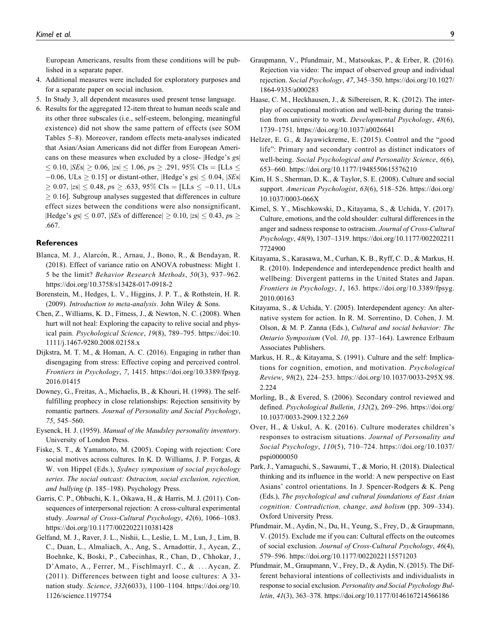European Americans, results from these conditions will be published in a separate paper.

- 4. Additional measures were included for exploratory purposes and for a separate paper on social inclusion.
- 5. In Study 3, all dependent measures used present tense language.
- 6. Results for the aggregated 12-item threat to human needs scale and its other three subscales (i.e., self-esteem, belonging, meaningful existence) did not show the same pattern of effects (see SOM Tables 5–8). Moreover, random effects meta-analyses indicated that Asian/Asian Americans did not differ from European Americans on these measures when excluded by a close- |Hedge's gs|  $\leq 0.10$ ,  $|SEs| \geq 0.06$ ,  $|zs| \leq 1.06$ ,  $ps \geq .291$ ,  $95\%$  CIs = [LLs  $\leq$  $-0.06$ , ULs  $\geq 0.15$ ] or distant-other, |Hedge's gs|  $\leq 0.04$ , |SEs|  $\geq 0.07$ ,  $|zs| \leq 0.48$ ,  $ps \geq .633$ , 95% CIs = [LLs  $\leq -0.11$ , ULs  $\geq$  0.16]. Subgroup analyses suggested that differences in culture effect sizes between the conditions were also nonsignificant, |Hedge's gs|  $\leq 0.07$ , |SEs of difference|  $\geq 0.10$ , |zs|  $\leq 0.43$ , ps  $\geq$ .667.

#### **References**

- Blanca, M. J., Alarcón, R., Arnau, J., Bono, R., & Bendayan, R. (2018). Effect of variance ratio on ANOVA robustness: Might 1. 5 be the limit? Behavior Research Methods, 50(3), 937–962. <https://doi.org/10.3758/s13428-017-0918-2>
- Borenstein, M., Hedges, L. V., Higgins, J. P. T., & Rothstein, H. R. (2009). Introduction to meta-analysis. John Wiley & Sons.
- Chen, Z., Williams, K. D., Fitness, J., & Newton, N. C. (2008). When hurt will not heal: Exploring the capacity to relive social and physical pain. Psychological Science, 19(8), 789–795. [https://doi:10.](https://doi:10.1111/j.1467-9280.2008.02158.x) [1111/j.1467-9280.2008.02158.x](https://doi:10.1111/j.1467-9280.2008.02158.x)
- Dijkstra, M. T. M., & Homan, A. C. (2016). Engaging in rather than disengaging from stress: Effective coping and perceived control. Frontiers in Psychology, 7, 1415. [https://doi.org/10.3389/fpsyg.](https://doi.org/10.3389/fpsyg.2016.01415) [2016.01415](https://doi.org/10.3389/fpsyg.2016.01415)
- Downey, G., Freitas, A., Michaelis, B., & Khouri, H. (1998). The selffulfilling prophecy in close relationships: Rejection sensitivity by romantic partners. Journal of Personality and Social Psychology, 75, 545–560.
- Eysenck, H. J. (1959). Manual of the Maudsley personality inventory. University of London Press.
- Fiske, S. T., & Yamamoto, M. (2005). Coping with rejection: Core social motives across cultures. In K. D. Williams, J. P. Forgas, & W. von Hippel (Eds.), Sydney symposium of social psychology series. The social outcast: Ostracism, social exclusion, rejection, and bullying (p. 185–198). Psychology Press.
- Garris, C. P., Ohbuchi, K. I., Oikawa, H., & Harris, M. J. (2011). Consequences of interpersonal rejection: A cross-cultural experimental study. Journal of Cross-Cultural Psychology, 42(6), 1066–1083. <https://doi.org/10.1177/0022022110381428>
- Gelfand, M. J., Raver, J. L., Nishii, L., Leslie, L. M., Lun, J., Lim, B. C., Duan, L., Almaliach, A., Ang, S., Arnadottir, J., Aycan, Z., Boehnke, K, Boski, P., Cabecinhas, R., Chan, D., Chhokar, J., D'Amato, A., Ferrer, M., FischlmayrI. C., & ... Aycan, Z. (2011). Differences between tight and loose cultures: A 33 nation study. Science, 332(6033), 1100–1104. [https://doi.org/10.](https://doi.org/10.1126/science.1197754) [1126/science.1197754](https://doi.org/10.1126/science.1197754)
- Graupmann, V., Pfundmair, M., Matsoukas, P., & Erber, R. (2016). Rejection via video: The impact of observed group and individual rejection. Social Psychology, 47, 345–350. [https://doi.org/10.1027/](https://doi.org/10.1027/1864-9335/a000283) [1864-9335/a000283](https://doi.org/10.1027/1864-9335/a000283)
- Haase, C. M., Heckhausen, J., & Silbereisen, R. K. (2012). The interplay of occupational motivation and well-being during the transition from university to work. Developmental Psychology, 48(6), 1739–1751.<https://doi.org/10.1037/a0026641>
- Helzer, E. G., & Jayawickreme, E. (2015). Control and the "good life": Primary and secondary control as distinct indicators of well-being. Social Psychological and Personality Science, 6(6), 653–660.<https://doi.org/10.1177/1948550615576210>
- Kim, H. S., Sherman, D. K., & Taylor, S. E. (2008). Culture and social support. American Psychologist, 63(6), 518–526. [https://doi.org/](https://doi.org/10.1037/0003-066X) [10.1037/0003-066X](https://doi.org/10.1037/0003-066X)
- Kimel, S. Y., Mischkowski, D., Kitayama, S., & Uchida, Y. (2017). Culture, emotions, and the cold shoulder: cultural differences in the anger and sadness response to ostracism. Journal of Cross-Cultural Psychology, 48(9), 1307–1319. [https://doi.org/10.1177/002202211](https://doi.org/10.1177/0022022117724900) [7724900](https://doi.org/10.1177/0022022117724900)
- Kitayama, S., Karasawa, M., Curhan, K. B., Ryff, C. D., & Markus, H. R. (2010). Independence and interdependence predict health and wellbeing: Divergent patterns in the United States and Japan. Frontiers in Psychology, 1, 163. [https://doi.org/10.3389/fpsyg.](https://doi.org/10.3389/fpsyg.2010.00163) [2010.00163](https://doi.org/10.3389/fpsyg.2010.00163)
- Kitayama, S., & Uchida, Y. (2005). Interdependent agency: An alternative system for action. In R. M. Sorrentino, D. Cohen, J. M. Olson, & M. P. Zanna (Eds.), Cultural and social behavior: The Ontario Symposium (Vol. 10, pp. 137–164). Lawrence Erlbaum Associates Publishers.
- Markus, H. R., & Kitayama, S. (1991). Culture and the self: Implications for cognition, emotion, and motivation. Psychological Review, 98(2), 224–253. [https://doi.org/10.1037/0033-295X.98.](https://doi.org/10.1037/0033-295X.98.2.224) [2.224](https://doi.org/10.1037/0033-295X.98.2.224)
- Morling, B., & Evered, S. (2006). Secondary control reviewed and defined. Psychological Bulletin, 132(2), 269–296. [https://doi.org/](https://doi.org/10.1037/0033-2909.132.2.269) [10.1037/0033-2909.132.2.269](https://doi.org/10.1037/0033-2909.132.2.269)
- Over, H., & Uskul, A. K. (2016). Culture moderates children's responses to ostracism situations. Journal of Personality and Social Psychology, 110(5), 710–724. [https://doi.org/10.1037/](https://doi.org/10.1037/pspi0000050) [pspi0000050](https://doi.org/10.1037/pspi0000050)
- Park, J., Yamaguchi, S., Sawaumi, T., & Morio, H. (2018). Dialectical thinking and its influence in the world: A new perspective on East Asians' control orientations. In J. Spencer-Rodgers & K. Peng (Eds.), The psychological and cultural foundations of East Asian cognition: Contradiction, change, and holism (pp. 309–334). Oxford University Press.
- Pfundmair, M., Aydin, N., Du, H., Yeung, S., Frey, D., & Graupmann, V. (2015). Exclude me if you can: Cultural effects on the outcomes of social exclusion. Journal of Cross-Cultural Psychology, 46(4), 579–596.<https://doi.org/10.1177/0022022115571203>
- Pfundmair, M., Graupmann, V., Frey, D., & Aydin, N. (2015). The Different behavioral intentions of collectivists and individualists in response to social exclusion. Personality and Social Psychology Bulletin, 41(3), 363–378.<https://doi.org/10.1177/0146167214566186>